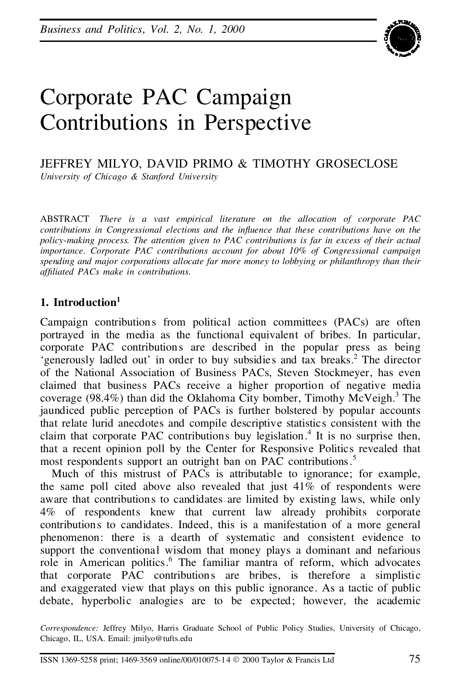

JEFFREY MILYO, DAVID PRIMO & TIMOTHY GROSECLOSE *University of Chicago & Stanford University*

ABSTRACT *There is a vast empirical literature on the allocation of corporate PAC contributions in Congressional elections and the in uence that these contributions have on the policy-making process. The attention given to PAC contributions is far in excess of their actual importance. Corporate PAC contributions account for about 10% of Congressional campaign spending and major corporations allocate far more money to lobbying or philanthropy than their afliated PACs make in contributions.*

## **1. Introduction 1**

Campaign contributions from political action committees (PACs) are often portrayed in the media as the functional equivalent of bribes. In particular, corporate PAC contributions are described in the popular press as being 'generously ladled out' in order to buy subsidies and tax breaks.<sup>2</sup> The director of the National Association of Business PACs, Steven Stockmeyer, has even claimed that business PACs receive a higher proportion of negative media coverage (98.4%) than did the Oklahoma City bomber, Timothy McVeigh.<sup>3</sup> The jaundiced public perception of PACs is further bolstered by popular accounts that relate lurid anecdotes and compile descriptive statistics consistent with the claim that corporate PAC contributions buy legislation.<sup>4</sup> It is no surprise then, that a recent opinion poll by the Center for Responsive Politics revealed that most respondents support an outright ban on PAC contributions.<sup>5</sup>

Much of this mistrust of PACs is attributable to ignorance; for example, the same poll cited above also revealed that just 41% of respondents were aware that contributions to candidates are limited by existing laws, while only 4% of respondents knew that current law already prohibits corporate contributions to candidates. Indeed, this is a manifestation of a more general phenomenon: there is a dearth of systematic and consistent evidence to support the conventional wisdom that money plays a dominant and nefarious role in American politics.<sup>6</sup> The familiar mantra of reform, which advocates that corporate PAC contributions are bribes, is therefore a simplistic and exaggerated view that plays on this public ignorance. As a tactic of public debate, hyperbolic analogies are to be expected; however, the academic

*Correspondence:* Jeffrey Milyo, Harris Graduate School of Public Policy Studies, University of Chicago, Chicago, IL, USA. Email: jmilyo@tufts.edu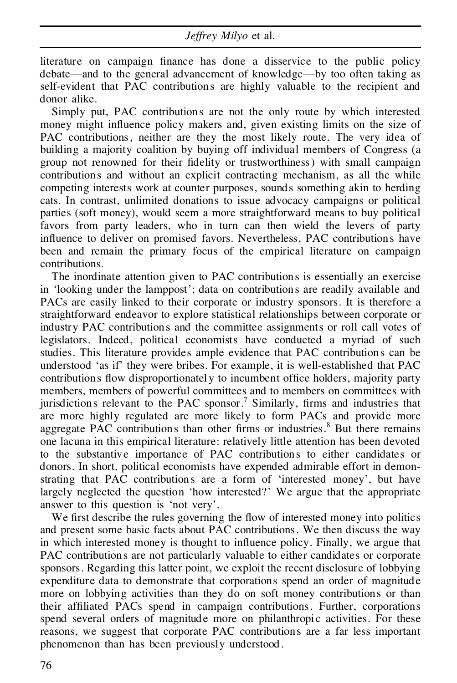literature on campaign finance has done a disservice to the public policy debate—and to the general advancement of knowledge—by too often taking as self-evident that PAC contributions are highly valuable to the recipient and donor alike.

Simply put, PAC contributions are not the only route by which interested money might influence policy makers and, given existing limits on the size of PAC contributions, neither are they the most likely route. The very idea of building a majority coalition by buying off individual members of Congress (a group not renowned for their delity or trustworthiness) with small campaign contributions and without an explicit contracting mechanism, as all the while competing interests work at counter purposes, sounds something akin to herding cats. In contrast, unlimited donations to issue advocacy campaigns or political parties (soft money), would seem a more straightforward means to buy political favors from party leaders, who in turn can then wield the levers of party influence to deliver on promised favors. Nevertheless, PAC contributions have been and remain the primary focus of the empirical literature on campaign contributions.

The inordinate attention given to PAC contributions is essentially an exercise in 'looking under the lamppost'; data on contributions are readily available and PACs are easily linked to their corporate or industry sponsors. It is therefore a straightforward endeavor to explore statistical relationships between corporate or industry PAC contributions and the committee assignments or roll call votes of legislators. Indeed, political economists have conducted a myriad of such studies. This literature provides ample evidence that PAC contributions can be understood 'as if' they were bribes. For example, it is well-established that PAC contributions flow disproportionately to incumbent office holders, majority party members, members of powerful committees and to members on committees with jurisdictions relevant to the PAC sponsor.<sup>7</sup> Similarly, firms and industries that are more highly regulated are more likely to form PACs and provide more aggregate PAC contributions than other firms or industries.<sup>8</sup> But there remains one lacuna in this empirical literature: relatively little attention has been devoted to the substantive importance of PAC contributions to either candidates or donors. In short, political economists have expended admirable effort in demon strating that PAC contributions are a form of'interested money', but have largely neglected the question 'how interested?' We argue that the appropriate answer to this question is 'not very'.

We first describe the rules governing the flow of interested money into politics and present some basic facts about PAC contributions. We then discuss the way in which interested money is thought to influence policy. Finally, we argue that PAC contributions are not particularly valuable to either candidates or corporate sponsors. Regarding this latter point, we exploit the recent disclosure of lobbying expenditure data to demonstrate that corporations spend an order of magnitude more on lobbying activities than they do on soft money contributions or than their affiliated PACs spend in campaign contributions. Further, corporations spend several orders of magnitude more on philanthropic activities. For these reasons, we suggest that corporate PAC contributions are a far less important phenomenon than has been previously understood .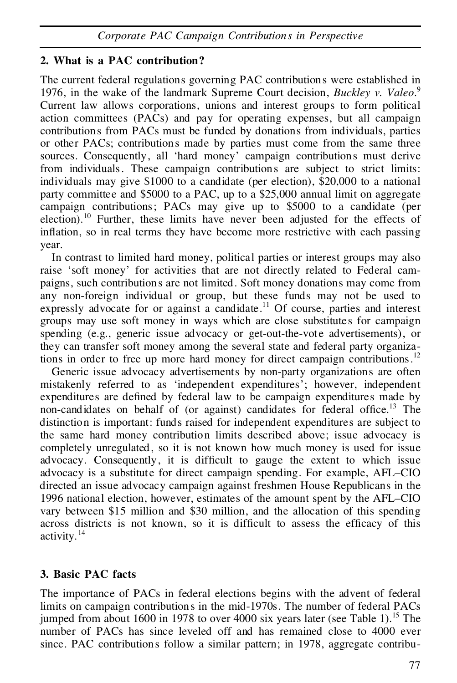# **2. What is a PAC contribution?**

The current federal regulations governing PAC contributions were established in 1976, in the wake of the landmark Supreme Court decision, *Buckley v. Valeo*.<sup>9</sup> Current law allows corporations, unions and interest groups to form political action committees (PACs) and pay for operating expenses, but all campaign contributions from PACs must be funded by donations from individuals, parties or other PACs; contributions made by parties must come from the same three sources. Consequently, all 'hard money' campaign contributions must derive from individuals. These campaign contributions are subject to strict limits: individuals may give \$1000 to a candidate (per election), \$20,000 to a national party committee and \$5000 to a PAC, up to a \$25,000 annual limit on aggregate campaign contributions; PACs may give up to \$5000 to a candidate (per election).<sup>10</sup> Further, these limits have never been adjusted for the effects of inflation, so in real terms they have become more restrictive with each passing year.

In contrast to limited hard money, political parties or interest groups may also raise 'soft money' for activities that are not directly related to Federal cam paigns, such contributions are not limited. Soft money donations may come from any non-foreign individual or group, but these funds may not be used to expressly advocate for or against a candidate.<sup>11</sup> Of course, parties and interest groups may use soft money in ways which are close substitutes for campaign spending (e.g., generic issue advocacy or get-out-the-vote advertisements), or they can transfer soft money among the several state and federal party organizations in order to free up more hard money for direct campaign contributions.<sup>12</sup>

Generic issue advocacy advertisements by non-party organizations are often mistakenly referred to as 'independent expenditures'; however, independent expenditures are defined by federal law to be campaign expenditures made by non-candidates on behalf of (or against) candidates for federal office.<sup>13</sup> The distinction is important: funds raised for independent expenditures are subject to the same hard money contribution limits described above; issue advocacy is completely unregulated , so it is not known how much money is used for issue advocacy. Consequently, it is difficult to gauge the extent to which issue advocacy is a substitute for direct campaign spending. For example, AFL–CIO directed an issue advocacy campaign against freshmen House Republicans in the 1996 national election, however, estimates of the amount spent by the AFL–CIO vary between \$15 million and \$30 million, and the allocation of this spending across districts is not known, so it is difficult to assess the efficacy of this activity.<sup>14</sup>

# **3. Basic PAC facts**

The importance of PACs in federal elections begins with the advent of federal limits on campaign contributions in the mid-1970s. The number of federal PACs jumped from about 1600 in 1978 to over 4000 six years later (see Table 1).<sup>15</sup> The number of PACs has since leveled off and has remained close to 4000 ever since. PAC contributions follow a similar pattern; in 1978, aggregate contribu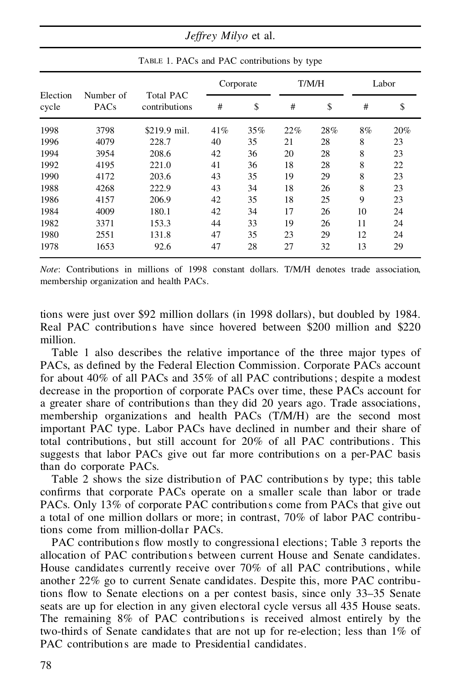*Jeffrey Milyo* et al.

| Election<br>cycle | Number of<br>PACs | <b>Total PAC</b><br>contributions | Corporate |     | T/M/H |     | Labor |     |  |
|-------------------|-------------------|-----------------------------------|-----------|-----|-------|-----|-------|-----|--|
|                   |                   |                                   | #         | \$  | #     | \$  | #     | \$  |  |
| 1998              | 3798              | \$219.9 mil.                      | 41\%      | 35% | 22%   | 28% | 8%    | 20% |  |
| 1996              | 4079              | 228.7                             | 40        | 35  | 21    | 28  | 8     | 23  |  |
| 1994              | 3954              | 208.6                             | 42        | 36  | 20    | 28  | 8     | 23  |  |
| 1992              | 4195              | 221.0                             | 41        | 36  | 18    | 28  | 8     | 22  |  |
| 1990              | 4172              | 203.6                             | 43        | 35  | 19    | 29  | 8     | 23  |  |
| 1988              | 4268              | 222.9                             | 43        | 34  | 18    | 26  | 8     | 23  |  |
| 1986              | 4157              | 206.9                             | 42        | 35  | 18    | 25  | 9     | 23  |  |
| 1984              | 4009              | 180.1                             | 42        | 34  | 17    | 26  | 10    | 24  |  |
| 1982              | 3371              | 153.3                             | 44        | 33  | 19    | 26  | 11    | 24  |  |
| 1980              | 2551              | 131.8                             | 47        | 35  | 23    | 29  | 12    | 24  |  |
| 1978              | 1653              | 92.6                              | 47        | 28  | 27    | 32  | 13    | 29  |  |
|                   |                   |                                   |           |     |       |     |       |     |  |

TABLE 1. PACs and PAC contributions by type

*Note*: Contributions in millions of 1998 constant dollars. T/M/H denotes trade association, membership organization and health PACs.

tions were just over \$92 million dollars (in 1998 dollars), but doubled by 1984. Real PAC contributions have since hovered between \$200 million and \$220 million.

Table 1 also describes the relative importance of the three major types of PACs, as defined by the Federal Election Commission. Corporate PACs account for about 40% of all PACs and 35% of all PAC contributions; despite a modest decrease in the proportion of corporate PACs over time, these PACs account for a greater share of contributions than they did 20 years ago. Trade associations, membership organizations and health PACs (T/M/H) are the second most important PAC type. Labor PACs have declined in number and their share of total contributions, but still account for 20% of all PAC contributions. This suggests that labor PACs give out far more contributions on a per-PAC basis than do corporate PACs.

Table 2 shows the size distribution of PAC contributions by type; this table confirms that corporate PACs operate on a smaller scale than labor or trade PACs. Only 13% of corporate PAC contributions come from PACs that give out a total of one million dollars or more; in contrast, 70% of labor PAC contributions come from million-dollar PACs.

PAC contributions flow mostly to congressional elections; Table 3 reports the allocation of PAC contributions between current House and Senate candidates. House candidates currently receive over 70% of all PAC contributions, while another 22% go to current Senate candidates. Despite this, more PAC contributions flow to Senate elections on a per contest basis, since only 33–35 Senate seats are up for election in any given electoral cycle versus all 435 House seats. The remaining 8% of PAC contributions is received almost entirely by the two-thirds of Senate candidates that are not up for re-election; less than 1% of PAC contributions are made to Presidential candidates.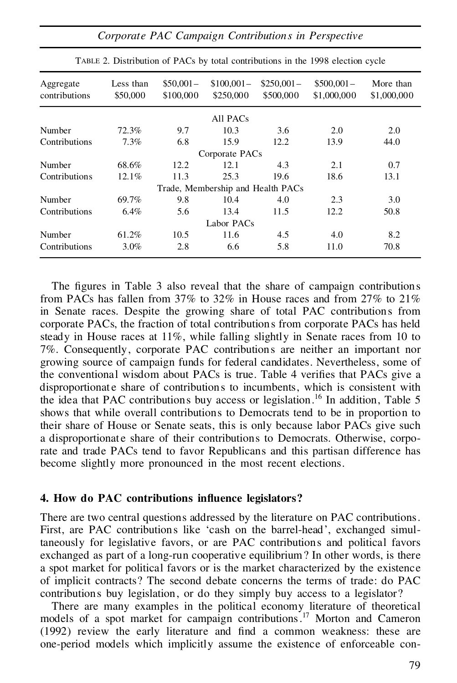| Aggregate<br>contributions | Less than<br>\$50,000 | $$50,001-$<br>\$100,000 | $$100,001-$<br>\$250,000          | $$250,001-$<br>\$500,000 | $$500,001-$<br>\$1,000,000 | More than<br>\$1,000,000 |
|----------------------------|-----------------------|-------------------------|-----------------------------------|--------------------------|----------------------------|--------------------------|
|                            |                       |                         | All PACs                          |                          |                            |                          |
| Number                     | 72.3%                 | 9.7                     | 10.3                              | 3.6                      | 2.0                        | 2.0                      |
| Contributions              | 7.3%                  | 6.8                     | 15.9                              | 12.2                     | 13.9                       | 44.0                     |
|                            |                       |                         | Corporate PAC <sub>s</sub>        |                          |                            |                          |
| Number                     | 68.6%                 | 12.2                    | 12.1                              | 4.3                      | 2.1                        | 0.7                      |
| Contributions              | 12.1%                 | 11.3                    | 25.3                              | 19.6                     | 18.6                       | 13.1                     |
|                            |                       |                         | Trade, Membership and Health PACs |                          |                            |                          |
| Number                     | 69.7%                 | 9.8                     | 10.4                              | 4.0                      | 2.3                        | 3.0                      |
| Contributions              | 6.4%                  | 5.6                     | 13.4                              | 11.5                     | 12.2                       | 50.8                     |
|                            |                       |                         | Labor PACs                        |                          |                            |                          |
| Number                     | 61.2%                 | 10.5                    | 11.6                              | 4.5                      | 4.0                        | 8.2                      |
| Contributions              | 3.0%                  | 2.8                     | 6.6                               | 5.8                      | 11.0                       | 70.8                     |

TABLE 2. Distribution of PACs by total contributions in the 1998 election cycle

The figures in Table 3 also reveal that the share of campaign contributions from PACs has fallen from 37% to 32% in House races and from 27% to 21% in Senate races. Despite the growing share of total PAC contributions from corporate PACs, the fraction of total contributions from corporate PACs has held steady in House races at 11%, while falling slightly in Senate races from 10 to 7%. Consequently, corporate PAC contributions are neither an important nor growing source of campaign funds for federal candidates. Nevertheless, some of the conventional wisdom about PACs is true. Table 4 verifies that PACs give a disproportionate share of contributions to incumbents, which is consistent with the idea that PAC contributions buy access or legislation.<sup>16</sup> In addition, Table 5 shows that while overall contributions to Democrats tend to be in proportion to their share of House or Senate seats, this is only because labor PACs give such a disproportionate share of their contributions to Democrats. Otherwise, corporate and trade PACs tend to favor Republicans and this partisan difference has become slightly more pronounced in the most recent elections.

#### **4. How do PAC contributions in uence legislators?**

There are two central questions addressed by the literature on PAC contributions. First, are PAC contributions like 'cash on the barrel-head', exchanged simultaneously for legislative favors, or are PAC contributions and political favors exchanged as part of a long-run cooperative equilibrium? In other words, is there a spot market for political favors or is the market characterized by the existence of implicit contracts? The second debate concerns the terms of trade: do PAC contributions buy legislation, or do they simply buy access to a legislator?

There are many examples in the political economy literature of theoretical models of a spot market for campaign contributions.<sup>17</sup> Morton and Cameron  $(1992)$  review the early literature and find a common weakness: these are one-period models which implicitly assume the existence of enforceable con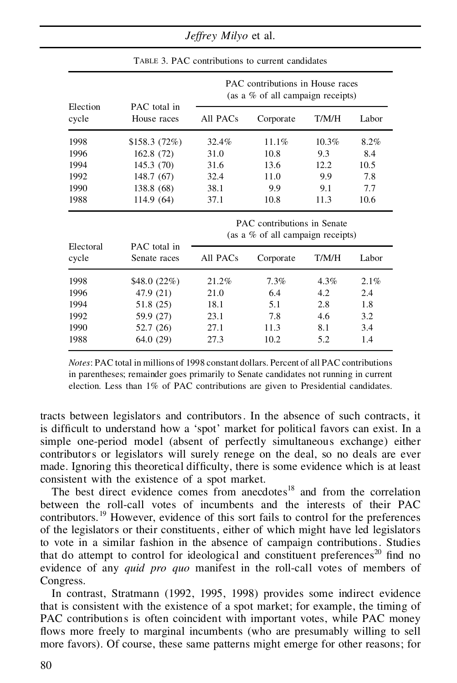*Jeffrey Milyo* et al.

|                    |                              | PAC contributions in House races<br>(as a $%$ of all campaign receipts) |           |          |       |  |  |
|--------------------|------------------------------|-------------------------------------------------------------------------|-----------|----------|-------|--|--|
| Election<br>cycle  | PAC total in<br>House races  | All PACs                                                                | Corporate | T/M/H    | Labor |  |  |
| 1998               | \$158.3(72%)                 | 32.4%                                                                   | 11.1%     | $10.3\%$ | 8.2%  |  |  |
| 1996               | 162.8(72)                    | 31.0                                                                    | 10.8      | 9.3      | 8.4   |  |  |
| 1994               | 145.3(70)                    | 31.6                                                                    | 13.6      | 12.2     | 10.5  |  |  |
| 1992               | 148.7(67)                    | 32.4                                                                    | 11.0      | 9.9      | 7.8   |  |  |
| 1990               | 138.8 (68)                   | 38.1                                                                    | 9.9       | 9.1      | 7.7   |  |  |
| 1988               | 114.9(64)                    | 37.1                                                                    | 10.8      | 11.3     | 10.6  |  |  |
|                    |                              | PAC contributions in Senate<br>(as a $\%$ of all campaign receipts)     |           |          |       |  |  |
| Electoral<br>cycle | PAC total in<br>Senate races | All PACs                                                                | Corporate | T/M/H    | Labor |  |  |
| 1998               | \$48.0 (22%)                 | 21.2%                                                                   | 7.3%      | 4.3%     | 2.1%  |  |  |
| 1996               | 47.9 (21)                    | 21.0                                                                    | 6.4       | 4.2      | 2.4   |  |  |
| 1994               | 51.8 (25)                    | 18.1                                                                    | 5.1       | 2.8      | 1.8   |  |  |
| 1992               | 59.9 (27)                    | 23.1                                                                    | 7.8       | 4.6      | 3.2   |  |  |
| 1990               | 52.7 (26)                    | 27.1                                                                    | 11.3      | 8.1      | 3.4   |  |  |
| 1988               | 64.0 (29)                    | 27.3                                                                    | 10.2      | 5.2      | 1.4   |  |  |

TABLE 3. PAC contributions to current candidates

*Notes*: PAC total in millions of 1998 constant dollars. Percent of all PAC contributions in parentheses; remainder goes primarily to Senate candidates not running in current election. Less than 1% of PAC contributions are given to Presidential candidates.

tracts between legislators and contributors. In the absence of such contracts, it is difficult to understand how a 'spot' market for political favors can exist. In a simple one-period model (absent of perfectly simultaneous exchange) either contributors or legislators will surely renege on the deal, so no deals are ever made. Ignoring this theoretical difficulty, there is some evidence which is at least consistent with the existence of a spot market.

The best direct evidence comes from anecdotes<sup>18</sup> and from the correlation between the roll-call votes of incumbents and the interests of their PAC contributors.<sup>19</sup> However, evidence of this sort fails to control for the preferences of the legislators or their constituents, either of which might have led legislators to vote in a similar fashion in the absence of campaign contributions. Studies that do attempt to control for ideological and constituent preferences<sup>20</sup> find no evidence of any *quid pro quo* manifest in the roll-call votes of members of Congress.

In contrast, Stratmann (1992, 1995, 1998) provides some indirect evidence that is consistent with the existence of a spot market; for example, the timing of PAC contributions is often coincident with important votes, while PAC money flows more freely to marginal incumbents (who are presumably willing to sell more favors). Of course, these same patterns might emerge for other reasons; for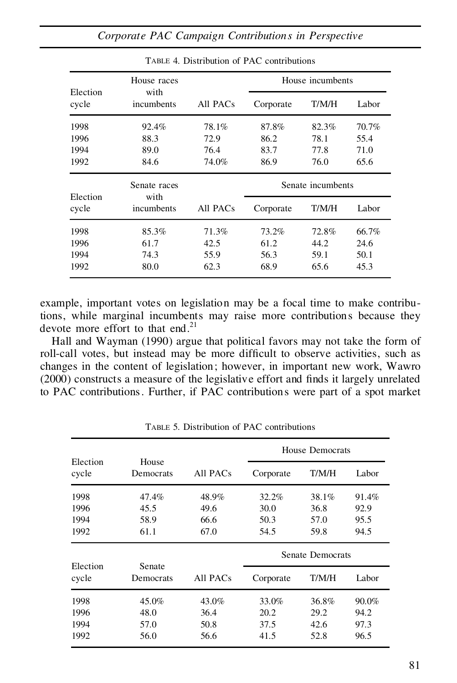|                   | House races        |          | House incumbents  |       |       |  |
|-------------------|--------------------|----------|-------------------|-------|-------|--|
| Election<br>cycle | with<br>incumbents | All PACs | Corporate         | T/M/H | Labor |  |
| 1998              | 92.4%              | 78.1%    | 87.8%             | 82.3% | 70.7% |  |
| 1996              | 88.3               | 72.9     | 86.2              | 78.1  | 55.4  |  |
| 1994              | 89.0               | 76.4     | 83.7              | 77.8  | 71.0  |  |
| 1992              | 84.6               | 74.0%    | 86.9              | 76.0  | 65.6  |  |
| Election          | Senate races       |          | Senate incumbents |       |       |  |
| cycle             | with<br>incumbents | All PACs | Corporate         | T/M/H | Labor |  |
| 1998              | 85.3%              | 71.3%    | 73.2%             | 72.8% | 66.7% |  |
| 1996              | 61.7               | 42.5     | 61.2              | 44.2  | 24.6  |  |
| 1994              | 74.3               | 55.9     | 56.3              | 59.1  | 50.1  |  |
| 1992              | 80.0               | 62.3     | 68.9              | 65.6  | 45.3  |  |

TABLE 4. Distribution of PAC contributions

example, important votes on legislation may be a focal time to make contributions, while marginal incumbents may raise more contributions because they devote more effort to that end<sup>21</sup>

Hall and Wayman (1990) argue that political favors may not take the form of roll-call votes, but instead may be more difficult to observe activities, such as changes in the content of legislation; however, in important new work, Wawro  $(2000)$  constructs a measure of the legislative effort and finds it largely unrelated to PAC contributions. Further, if PAC contributions were part of a spot market

|                   |                     |          | House Democrats  |       |       |  |
|-------------------|---------------------|----------|------------------|-------|-------|--|
| Election<br>cycle | House<br>Democrats  | All PACs | Corporate        | T/M/H | Labor |  |
| 1998              | 47.4%               | 48.9%    | 32.2%            | 38.1% | 91.4% |  |
| 1996              | 45.5                | 49.6     | 30.0             | 36.8  | 92.9  |  |
| 1994              | 58.9                | 66.6     | 50.3             | 57.0  | 95.5  |  |
| 1992              | 61.1                | 67.0     | 54.5             | 59.8  | 94.5  |  |
|                   |                     |          | Senate Democrats |       |       |  |
| Election<br>cycle | Senate<br>Democrats | All PACs | Corporate        | T/M/H | Labor |  |
| 1998              | 45.0%               | 43.0%    | 33.0%            | 36.8% | 90.0% |  |
| 1996              | 48.0                | 36.4     | 20.2             | 29.2  | 94.2  |  |
| 1994              | 57.0                | 50.8     | 37.5             | 42.6  | 97.3  |  |
|                   |                     |          |                  |       |       |  |

TABLE 5. Distribution of PAC contributions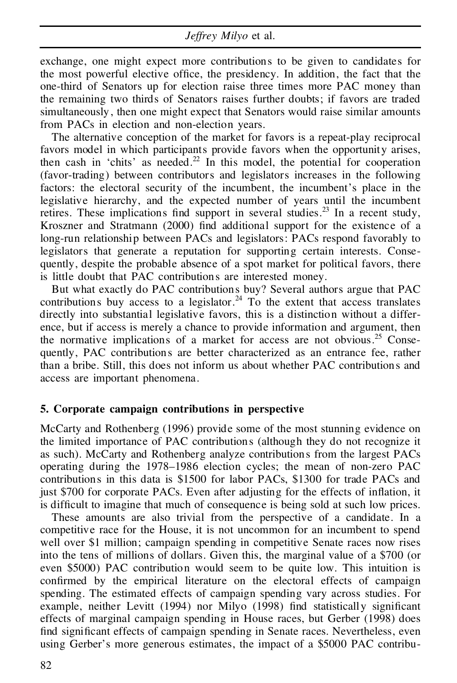exchange, one might expect more contributions to be given to candidates for the most powerful elective office, the presidency. In addition, the fact that the one-third of Senators up for election raise three times more PAC money than the remaining two thirds of Senators raises further doubts; if favors are traded simultaneously , then one might expect that Senators would raise similar amounts from PACs in election and non-election years.

The alternative conception of the market for favors is a repeat-play reciprocal favors model in which participants provide favors when the opportunity arises, then cash in 'chits' as needed.<sup>22</sup> In this model, the potential for cooperation (favor-trading) between contributors and legislators increases in the following factors: the electoral security of the incumbent, the incumbent's place in the legislative hierarchy, and the expected number of years until the incumbent retires. These implications find support in several studies.<sup>23</sup> In a recent study, Kroszner and Stratmann (2000) find additional support for the existence of a long-run relationship between PACs and legislators: PACs respond favorably to legislators that generate a reputation for supporting certain interests. Conse quently, despite the probable absence of a spot market for political favors, there is little doubt that PAC contributions are interested money.

But what exactly do PAC contributions buy? Several authors argue that PAC contributions buy access to a legislator.<sup>24</sup> To the extent that access translates directly into substantial legislative favors, this is a distinction without a differ ence, but if access is merely a chance to provide information and argument, then the normative implications of a market for access are not obvious.<sup>25</sup> Consequently, PAC contributions are better characterized as an entrance fee, rather than a bribe. Still, this does not inform usabout whether PAC contributions and access are important phenomena.

#### **5. Corporate campaign contributions in perspective**

McCarty and Rothenberg (1996) provide some of the most stunning evidence on the limited importance of PAC contributions (although they do not recognize it as such). McCarty and Rothenberg analyze contributions from the largest PACs operating during the 1978–1986 election cycles; the mean of non-zero PAC contributions in this data is \$1500 for labor PACs, \$1300 for trade PACs and just  $$700$  for corporate PACs. Even after adjusting for the effects of inflation, it is difficult to imagine that much of consequence is being sold at such low prices.

These amounts are also trivial from the perspective of a candidate. In a competitive race for the House, it is not uncommon for an incumbent to spend well over \$1 million; campaign spending in competitive Senate races now rises into the tens of millions of dollars. Given this, the marginal value of a \$700 (or even \$5000) PAC contribution would seem to be quite low. This intuition is confirmed by the empirical literature on the electoral effects of campaign spending. The estimated effects of campaign spending vary across studies. For example, neither Levitt  $(1994)$  nor Milyo  $(1998)$  find statistically significant effects of marginal campaign spending in House races, but Gerber (1998) does find significant effects of campaign spending in Senate races. Nevertheless, even using Gerber's more generous estimates, the impact of a \$5000 PAC contribu-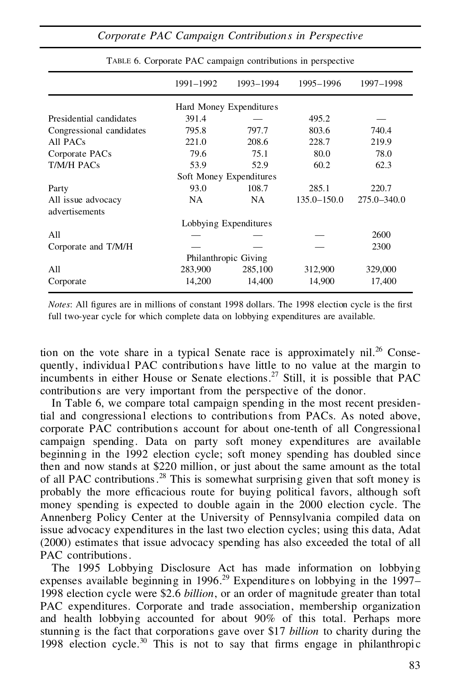|                                      | 1991-1992             | 1993-1994               | 1995-1996       | 1997-1998       |
|--------------------------------------|-----------------------|-------------------------|-----------------|-----------------|
|                                      |                       | Hard Money Expenditures |                 |                 |
| Presidential candidates              | 391.4                 |                         | 495.2           |                 |
| Congressional candidates             | 795.8                 | 797.7                   | 803.6           | 740.4           |
| All PACs                             | 221.0                 | 208.6                   | 228.7           | 219.9           |
| Corporate PACs                       | 79.6                  | 75.1                    | 80.0            | 78.0            |
| T/M/H PACs                           | 53.9                  | 52.9                    | 60.2            | 62.3            |
|                                      |                       | Soft Money Expenditures |                 |                 |
| Party                                | 93.0                  | 108.7                   | 285.1           | 220.7           |
| All issue advocacy<br>advertisements | NA                    | <b>NA</b>               | $135.0 - 150.0$ | $275.0 - 340.0$ |
|                                      | Lobbying Expenditures |                         |                 |                 |
| All                                  |                       |                         |                 | 2600            |
| Corporate and T/M/H                  |                       |                         |                 | 2300            |
|                                      |                       | Philanthropic Giving    |                 |                 |
| All                                  | 283,900               | 285,100                 | 312,900         | 329,000         |
| Corporate                            | 14,200                | 14,400                  | 14,900          | 17,400          |

TABLE 6. Corporate PAC campaign contributions in perspective

*Notes*: All figures are in millions of constant 1998 dollars. The 1998 election cycle is the first full two-year cycle for which complete data on lobbying expenditures are available.

tion on the vote share in a typical Senate race is approximately  $\text{nil.}^{26}$  Consequently, individua l PAC contributions have little to no value at the margin to incumbents in either House or Senate elections.<sup>27</sup> Still, it is possible that PAC contributions are very important from the perspective of the donor.

In Table 6, we compare total campaign spending in the most recent presidential and congressional elections to contributions from PACs. As noted above, corporate PAC contributions account for about one-tenth of all Congressional campaign spending. Data on party soft money expenditures are available beginning in the 1992 election cycle; soft money spending has doubled since then and now stands at \$220 million, or just about the same amount as the total of all PAC contributions.<sup>28</sup> This is somewhat surprising given that soft money is probably the more efficacious route for buying political favors, although soft money spending is expected to double again in the 2000 election cycle. The Annenberg Policy Center at the University of Pennsylvania compiled data on issue advocacy expenditures in the last two election cycles; using this data, Adat (2000) estimates that issue advocacy spending has also exceeded the total of all PAC contributions.

The 1995 Lobbying Disclosure Act has made information on lobbying expenses available beginning in  $1996.<sup>29</sup>$  Expenditures on lobbying in the  $1997-$ 1998 election cycle were \$2.6 *billion*, or an order of magnitude greater than total PAC expenditures. Corporate and trade association, membership organization and health lobbying accounted for about 90% of this total. Perhaps more stunning is the fact that corporations gave over \$17 *billion* to charity during the 1998 election cycle.<sup>30</sup> This is not to say that firms engage in philanthropic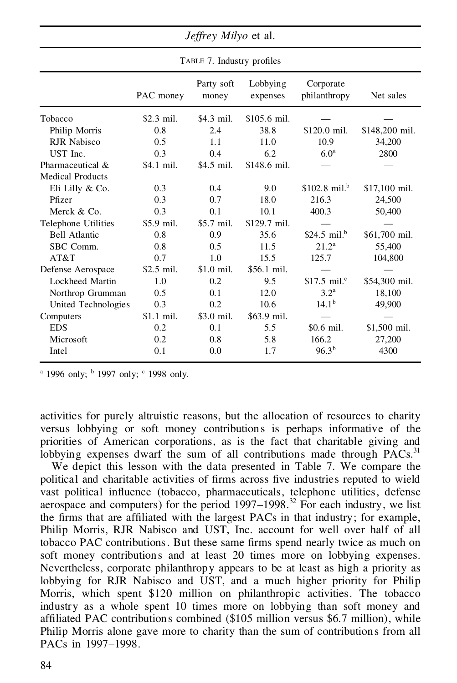|                         | TABLE 7. Industry profiles |                     |                      |                           |                |  |  |
|-------------------------|----------------------------|---------------------|----------------------|---------------------------|----------------|--|--|
|                         | PAC money                  | Party soft<br>money | Lobbying<br>expenses | Corporate<br>philanthropy | Net sales      |  |  |
| Tobacco                 | $$2.3$ mil.                | \$4.3 mil.          | \$105.6 mil.         |                           |                |  |  |
| Philip Morris           | 0.8                        | 2.4                 | 38.8                 | \$120.0 mil.              | \$148,200 mil. |  |  |
| <b>RJR</b> Nabisco      | 0.5                        | 1.1                 | 11.0                 | 10.9                      | 34,200         |  |  |
| UST Inc.                | 0.3                        | 0.4                 | 6.2                  | 6.0 <sup>a</sup>          | 2800           |  |  |
| Pharmaceutical &        | \$4.1 mil.                 | \$4.5 mil.          | \$148.6 mil.         |                           |                |  |  |
| <b>Medical Products</b> |                            |                     |                      |                           |                |  |  |
| Eli Lilly & Co.         | 0.3                        | 0.4                 | 9.0                  | \$102.8 mil. <sup>b</sup> | \$17,100 mil.  |  |  |
| Pfizer                  | 0.3                        | 0.7                 | 18.0                 | 216.3                     | 24,500         |  |  |
| Merck & Co.             | 0.3                        | 0.1                 | 10.1                 | 400.3                     | 50,400         |  |  |
| Telephone Utilities     | \$5.9 mil.                 | $$5.7$ mil.         | $$129.7$ mil.        |                           |                |  |  |
| <b>Bell Atlantic</b>    | 0.8                        | 0.9                 | 35.6                 | \$24.5 mil. $^{b}$        | \$61,700 mil.  |  |  |
| SBC Comm.               | 0.8                        | 0.5                 | 11.5                 | 21.2 <sup>a</sup>         | 55,400         |  |  |
| AT&T                    | 0.7                        | 1.0                 | 15.5                 | 125.7                     | 104,800        |  |  |
| Defense Aerospace       | $$2.5$ mil.                | $$1.0$ mil.         | \$56.1 mil.          |                           |                |  |  |
| Lockheed Martin         | 1.0                        | 0.2                 | 9.5                  | \$17.5 mil. $\degree$     | \$54,300 mil.  |  |  |
| Northrop Grumman        | 0.5                        | 0.1                 | 12.0                 | 3.2 <sup>a</sup>          | 18,100         |  |  |
| United Technologies     | 0.3                        | 0.2                 | 10.6                 | 14.1 <sup>b</sup>         | 49,900         |  |  |
| Computers               | $$1.1$ mil.                | \$3.0 mil.          | \$63.9 mil.          |                           |                |  |  |
| <b>EDS</b>              | 0.2                        | 0.1                 | 5.5                  | \$0.6 mil.                | \$1,500 mil.   |  |  |
| Microsoft               | 0.2                        | 0.8                 | 5.8                  | 166.2                     | 27,200         |  |  |
| Intel                   | 0.1                        | 0.0                 | 1.7                  | $96.3^{b}$                | 4300           |  |  |

*Jeffrey Milyo* et al.

<sup>a</sup> 1996 only;  $\frac{b}{2}$  1997 only; <sup>c</sup> 1998 only.

activities for purely altruistic reasons, but the allocation of resources to charity versus lobbying or soft money contributions is perhaps informative of the priorities of American corporations, as is the fact that charitable giving and lobbying expenses dwarf the sum of all contributions made through PACs.<sup>31</sup>

We depict this lesson with the data presented in Table 7. We compare the political and charitable activities of firms across five industries reputed to wield vast political influence (tobacco, pharmaceuticals, telephone utilities, defense aerospace and computers) for the period  $1997-1998$ .<sup>32</sup> For each industry, we list the firms that are affiliated with the largest PACs in that industry; for example, Philip Morris, RJR Nabisco and UST, Inc. account for well over half of all tobacco PAC contributions. But these same firms spend nearly twice as much on soft money contributions and at least 20 times more on lobbying expenses. Nevertheless, corporate philanthropy appears to be at least as high a priority as lobbying for RJR Nabisco and UST, and a much higher priority for Philip Morris, which spent \$120 million on philanthropic activities. The tobacco industry as a whole spent 10 times more on lobbying than soft money and affiliated PAC contributions combined (\$105 million versus \$6.7 million), while Philip Morris alone gave more to charity than the sum of contributions from all PACs in 1997–1998.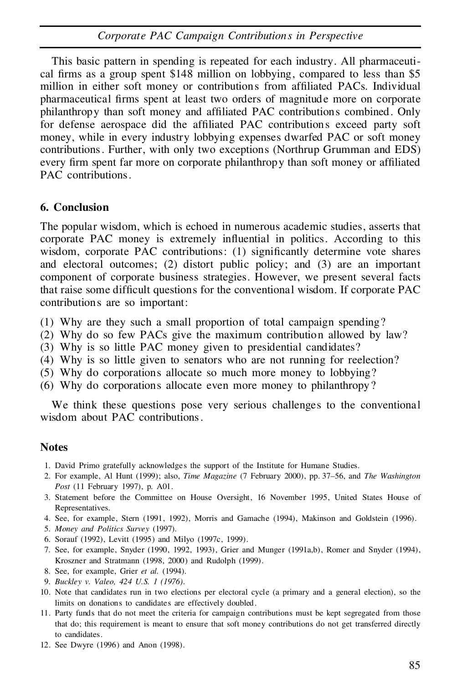This basic pattern in spending is repeated for each industry. All pharmaceuti cal firms as a group spent \$148 million on lobbying, compared to less than \$5 million in either soft money or contributions from affiliated PACs. Individual pharmaceutical firms spent at least two orders of magnitude more on corporate philanthropy than soft money and affiliated PAC contributions combined. Only for defense aerospace did the affiliated PAC contributions exceed party soft money, while in every industry lobbying expenses dwarfed PAC or soft money contributions. Further, with only two exceptions (Northrup Grumman and EDS) every firm spent far more on corporate philanthropy than soft money or affiliated PAC contributions.

### **6. Conclusion**

The popular wisdom, which is echoed in numerous academic studies, asserts that corporate PAC money is extremely influential in politics. According to this wisdom, corporate PAC contributions: (1) significantly determine vote shares and electoral outcomes; (2) distort public policy; and (3) are an important component of corporate business strategies. However, we present several facts that raise some difficult questions for the conventional wisdom. If corporate PAC contributions are so important:

- (1) Why are they such a small proportion of total campaign spending?
- (2) Why do so few PACs give the maximum contribution allowed by law?
- (3) Why is so little PAC money given to presidential candidates?
- (4) Why is so little given to senators who are not running for reelection?
- (5) Why do corporations allocate so much more money to lobbying?
- (6) Why do corporations allocate even more money to philanthropy?

We think these questions pose very serious challenges to the conventional wisdom about PAC contributions.

## **Notes**

- 1. David Primo gratefully acknowledges the support of the Institute for Humane Studies.
- 2. For example, Al Hunt (1999); also, *Time Magazine* (7 February 2000), pp. 37–56, and *The Washington Post* (11 February 1997), p. A01.
- 3. Statement before the Committee on House Oversight, 16 November 1995, United States House of Representatives.
- 4. See, for example, Stern (1991, 1992), Morris and Gamache (1994), Makinson and Goldstein (1996).
- 5. *Money and Politics Survey* (1997).
- 6. Sorauf (1992), Levitt (1995) and Milyo (1997c, 1999).
- 7. See, for example, Snyder (1990, 1992, 1993), Grier and Munger (1991a,b), Romer and Snyder (1994), Kroszner and Stratmann (1998, 2000) and Rudolph (1999).
- 8. See, for example, Grier *et al.* (1994).
- 9. *Buckley v. Valeo, 424 U.S. 1 (1976).*
- 10. Note that candidates run in two elections per electoral cycle (a primary and a general election), so the limits on donations to candidates are effectively doubled.
- 11. Party funds that do not meet the criteria for campaign contributions must be kept segregated from those that do; this requirement is meant to ensure that soft money contributions do not get transferred directly to candidates.
- 12. See Dwyre (1996) and Anon (1998).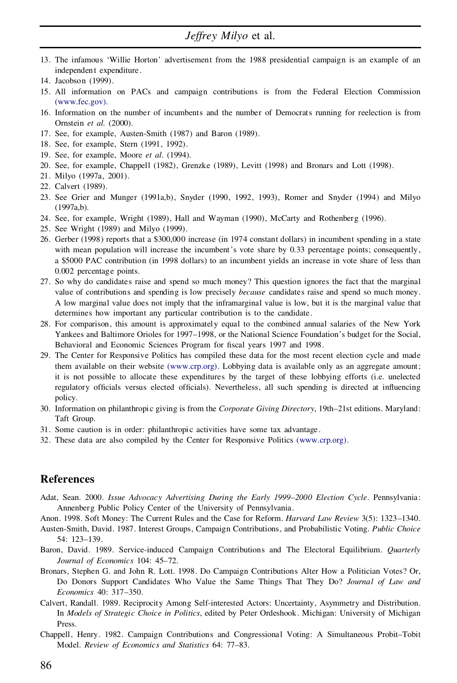- 13. The infamous 'Willie Horton' advertisement from the 1988 presidential campaign is an example of an independen t expenditure.
- 14. Jacobson (1999).
- 15. All information on PACs and campaign contributions is from the Federal Election Commission [\(www.fec.gov\).](http://www.fec.gov)
- 16. Information on the number of incumbents and the number of Democrats running for reelection is from Ornstein *et al.* (2000).
- 17. See, for example, Austen-Smith (1987) and Baron (1989).
- 18. See, for example, Stern (1991, 1992).
- 19. See, for example, Moore *et al*. (1994).
- 20. See, for example, Chappell (1982), Grenzke (1989), Levitt (1998) and Bronars and Lott (1998).
- 21. Milyo (1997a, 2001).
- 22. Calvert (1989).
- 23. See Grier and Munger (1991a,b), Snyder (1990, 1992, 1993), Romer and Snyder (1994) and Milyo (1997a,b).
- 24. See, for example, Wright (1989), Hall and Wayman (1990), McCarty and Rothenberg (1996).
- 25. See Wright (1989) and Milyo (1999).
- 26. Gerber (1998) reports that a \$300,000 increase (in 1974 constant dollars) in incumbent spending in a state with mean population will increase the incumbent's vote share by 0.33 percentage points; consequently, a \$5000 PAC contribution (in 1998 dollars) to an incumbent yields an increase in vote share of less than 0.002 percentage points.
- 27. So why do candidates raise and spend so much money? This question ignores the fact that the marginal value of contributions and spending is low precisely *because* candidates raise and spend so much money. A low marginal value does not imply that the inframarginal value is low, but it is the marginal value that determines how important any particular contribution is to the candidate.
- 28. For comparison, this amount is approximately equal to the combined annual salaries of the New York Yankees and Baltimore Orioles for 1997–1998, or the National Science Foundation's budget for the Social, Behavioral and Economic Sciences Program for fiscal years 1997 and 1998.
- 29. The Center for Responsive Politics has compiled these data for the most recent election cycle and made them available on their website [\(www.crp.org\).](http://www.crp.org) Lobbying data is available only as an aggregate amount; it is not possible to allocate these expenditures by the target of these lobbying efforts (i.e. unelected regulatory officials versus elected officials). Nevertheless, all such spending is directed at influencing policy.
- 30. Information on philanthropi c giving is from the *Corporate Giving Directory*, 19th–21st editions. Maryland: Taft Group.
- 31. Some caution is in order: philanthropic activities have some tax advantage.
- 32. These data are also compiled by the Center for Responsive Politics [\(www.crp.org\).](http://www.crp.org)

#### **References**

- Adat, Sean. 2000. *Issue Advocacy Advertising During the Early 1999–2000 Election Cycle*. Pennsylvania: Annenberg Public Policy Center of the University of Pennsylvania.
- Anon. 1998. Soft Money: The Current Rules and the Case for Reform. *Harvard Law Review* 3(5): 1323–1340.
- Austen-Smith, David. 1987. Interest Groups, Campaign Contributions, and Probabilistic Voting. *Public Choice* 54: 123–139.
- Baron, David. 1989. Service-induced Campaign Contributions and The Electoral Equilibrium. *Quarterly Journal of Economics* 104: 45–72.
- Bronars, Stephen G. and John R. Lott. 1998. Do Campaign Contributions Alter How a Politician Votes? Or, Do Donors Support Candidates Who Value the Same Things That They Do? *Journal of Law and Economics* 40: 317–350.
- Calvert, Randall. 1989. Reciprocity Among Self-interested Actors: Uncertainty, Asymmetry and Distribution. In *Models of Strategic Choice in Politics*, edited by Peter Ordeshook. Michigan: University of Michigan Press.
- Chappell, Henry. 1982. Campaign Contributions and Congressional Voting: A Simultaneous Probit–Tobit Model. *Review of Economics and Statistics* 64: 77-83.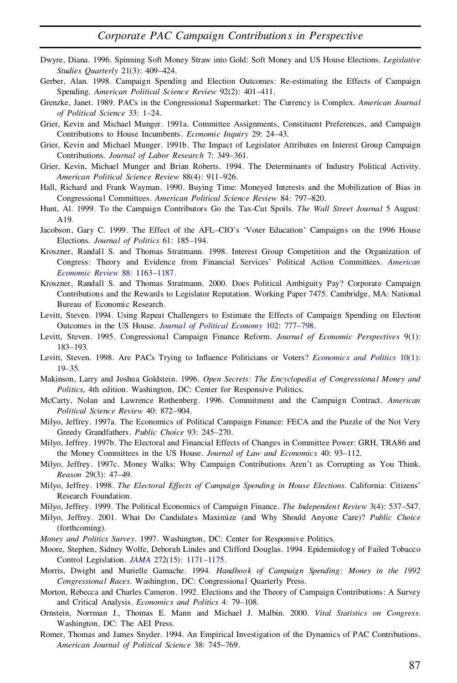- Dwyre, Diana. 1996. Spinning Soft Money Straw into Gold: Soft Money and US House Elections. *Legislative Studies Quarterly* 21(3): 409–424.
- Gerber, Alan. 1998. Campaign Spending and Election Outcomes: Re-estimating the Effects of Campaign Spending. *American Political Science Review* 92(2): 401–411.
- Grenzke, Janet. 1989. PACs in the Congressional Supermarket: The Currency is Complex. *American Journal of Political Science* 33: 1–24.
- Grier, Kevin and Michael Munger. 1991a. Committee Assignments, Constituent Preferences, and Campaign Contributions to House Incumbents. *Economic Inquiry* 29: 24–43.
- Grier, Kevin and Michael Munger. 1991b. The Impact of Legislator Attributes on Interest Group Campaign Contributions. *Journal of Labor Research* 7: 349–361.
- Grier, Kevin, Michael Munger and Brian Roberts. 1994. The Determinants of Industry Political Activity. *American Political Science Review* 88(4): 911–926.
- Hall, Richard and Frank Wayman. 1990. Buying Time: Moneyed Interests and the Mobilization of Bias in Congressional Committees. *American Political Science Review* 84: 797–820.
- Hunt, Al. 1999. To the Campaign Contributors Go the Tax-Cut Spoils. *The Wall Street Journal* 5 August: A19.
- Jacobson, Gary C. 1999. The Effect of the AFL–CIO's 'Voter Education' Campaigns on the 1996 House Elections. *Journal of Politics* 61: 185–194.
- Kroszner, Randall S. and Thomas Stratmann. 1998. Interest Group Competition and the Organization of Congress: Theory and Evidence from Financial Services' Political Action Committees. *[American](http://alidoro.catchword.com/nw=1/rpsv/0002-8282^28^2988L.1163[aid=129054]) Economic Review* 88: [1163–1187.](http://alidoro.catchword.com/nw=1/rpsv/0002-8282^28^2988L.1163[aid=129054])
- Kroszner, Randall S. and Thomas Stratmann. 2000. Does Political Ambiguity Pay? Corporate Campaign Contributions and the Rewards to Legislator Reputation. Working Paper 7475. Cambridge, MA: National Bureau of Economic Research.
- Levitt, Steven. 1994. Using Repeat Challengers to Estimate the Effects of Campaign Spending on Election Outcomes in the US House. *Journal of Political Economy* 102: [777–798.](http://alidoro.catchword.com/nw=1/rpsv/0022-3808^28^29102L.777[aid=128994])
- Levitt, Steven. 1995. Congressional Campaign Finance Reform. *Journal of Economic Perspectives* 9(1): 183–193.
- Levitt, Steven. 1998. Are PACs Trying to Influence Politicians or Voters? *[Economics](http://alidoro.catchword.com/nw=1/rpsv/0954-1985^28^2910:1L.19[aid=129056]) and Politics* 10(1): [19–35.](http://alidoro.catchword.com/nw=1/rpsv/0954-1985^28^2910:1L.19[aid=129056])
- Makinson, Larry and Joshua Goldstein. 1996. *Open Secrets: The Encyclopedia of Congressional Money and Politics*, 4th edition. Washington, DC: Center for Responsive Politics.
- McCarty, Nolan and Lawrence Rothenberg. 1996. Commitment and the Campaign Contract. *American Political Science Review* 40: 872–904.
- Milyo, Jeffrey. 1997a. The Economics of Political Campaign Finance: FECA and the Puzzle of the Not Very Greedy Grandfathers. *Public Choice* 93: 245–270.
- Milyo, Jeffrey. 1997b. The Electoral and Financial Effects of Changes in Committee Power: GRH, TRA86 and the Money Committees in the US House. *Journal of Law and Economics* 40: 93–112.
- Milyo, Jeffrey. 1997c. Money Walks: Why Campaign Contributions Aren't as Corrupting as You Think. *Reason* 29(3): 47–49.
- Milyo, Jeffrey. 1998. *The Electoral Effects of Campaign Spending in House Elections*. California: Citizens' Research Foundation.
- Milyo, Jeffrey. 1999. The Political Economics of Campaign Finance. *The Independen t Review* 3(4): 537–547.
- Milyo, Jeffrey. 2001. What Do Candidates Maximize (and Why Should Anyone Care)? *Public Choice* (forthcoming).
- *Money and Politics Survey*. 1997. Washington, DC: Center for Responsive Politics.
- Moore, Stephen, Sidney Wolfe, Deborah Lindes and Clifford Douglas. 1994. Epidemiology of Failed Tobacco Control Legislation. *JAMA* 272(15): [1171–1175.](http://alidoro.catchword.com/nw=1/rpsv/0098-7484^28^29272:15L.1171[aid=129060,nlm=7933346])
- Morris, Dwight and Murielle Gamache. 1994. *Handbook of Campaign Spending: Money in the 1992 Congressional Races*. Washington, DC: Congressional Quarterly Press.
- Morton, Rebecca and Charles Cameron. 1992. Elections and the Theory of Campaign Contributions: A Survey and Critical Analysis. *Economics and Politics* 4: 79–108.
- Ornstein, Norrman J., Thomas E. Mann and Michael J. Malbin. 2000. *Vital Statistics on Congress*. Washington, DC: The AEI Press.
- Romer, Thomas and James Snyder. 1994. An Empirical Investigation of the Dynamics of PAC Contributions. *American Journal of Political Science* 38: 745–769.